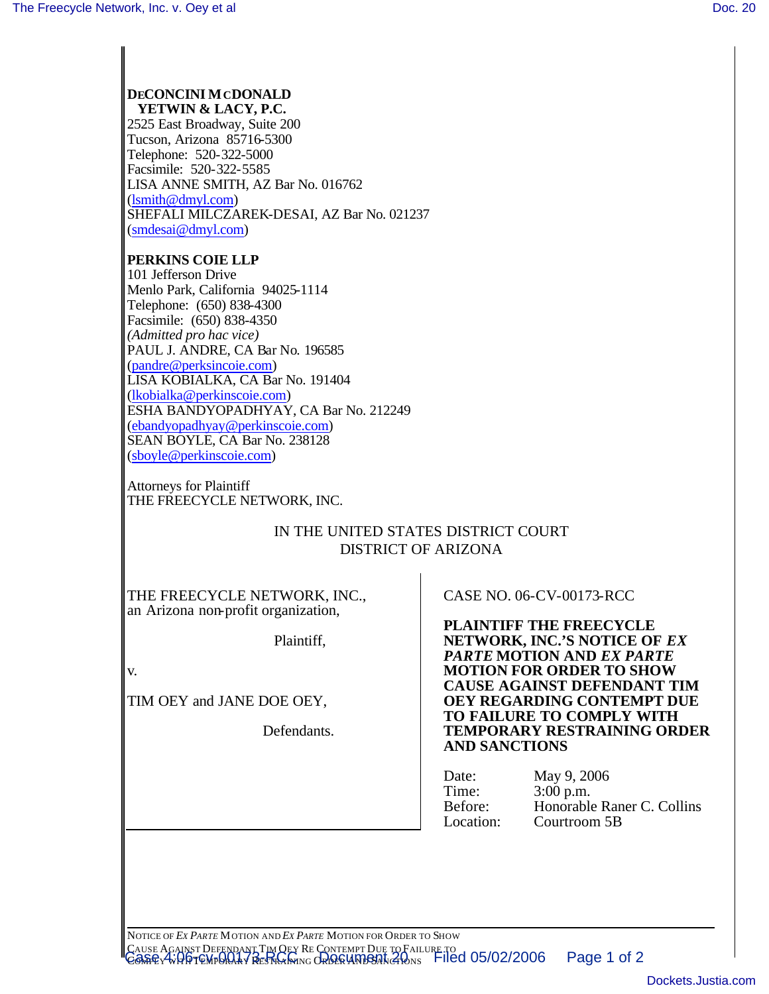#### **DECONCINI MCDONALD YETWIN & LACY, P.C.**

2525 East Broadway, Suite 200 Tucson, Arizona 85716-5300 Telephone: 520-322-5000 Facsimile: 520-322-5585 LISA ANNE SMITH, AZ Bar No. 016762 (lsmith@dmyl.com) SHEFALI MILCZAREK-DESAI, AZ Bar No. 021237 (smdesai@dmyl.com)

## **PERKINS COIE LLP**

101 Jefferson Drive Menlo Park, California 94025-1114 Telephone: (650) 838-4300 Facsimile: (650) 838-4350 *(Admitted pro hac vice)* PAUL J. ANDRE, CA Bar No. 196585 (pandre@perksincoie.com) LISA KOBIALKA, CA Bar No. 191404 (lkobialka@perkinscoie.com) ESHA BANDYOPADHYAY, CA Bar No. 212249 (ebandyopadhyay@perkinscoie.com) SEAN BOYLE, CA Bar No. 238128 (sboyle@perkinscoie.com)

Attorneys for Plaintiff THE FREECYCLE NETWORK, INC.

# IN THE UNITED STATES DISTRICT COURT DISTRICT OF ARIZONA

THE FREECYCLE NETWORK, INC., an Arizona non-profit organization,

Plaintiff,

v.

TIM OEY and JANE DOE OEY,

Defendants.

CASE NO. 06-CV-00173-RCC

**PLAINTIFF THE FREECYCLE NETWORK, INC.'S NOTICE OF** *EX PARTE* **MOTION AND** *EX PARTE* **MOTION FOR ORDER TO SHOW CAUSE AGAINST DEFENDANT TIM OEY REGARDING CONTEMPT DUE TO FAILURE TO COMPLY WITH TEMPORARY RESTRAINING ORDER AND SANCTIONS**

| Date:     | May 9, 2006                |
|-----------|----------------------------|
| Time:     | $3:00$ p.m.                |
| Before:   | Honorable Raner C. Collins |
| Location: | Courtroom 5B               |
|           |                            |